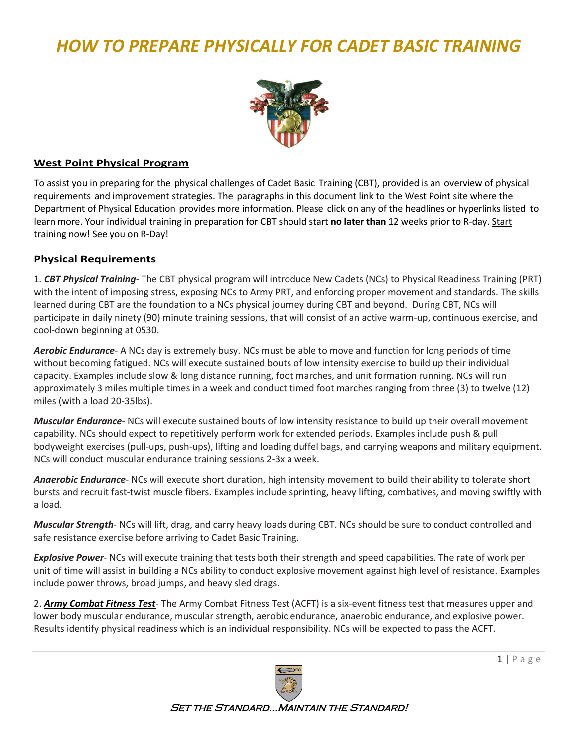# *HOW TO PREPARE PHYSICALLY FOR CADET BASIC TRAINING*



#### **[West Point Physical](https://www.westpoint.edu/physical-program) Program**

To assist [you in preparing](http://www.westpoint.edu/dpe/SitePages/Cadet%20Start%20Now.aspx) for the physical challenges of Cadet Basic Training (CBT), provided is an overview of physical requirements [and improvement](http://www.westpoint.edu/dpe/SitePages/Cadet%20Start%20Now.aspx) strategies. The paragraphs in this document link to the West Point site where the Department of Physical Education provides more information. Please click on any of the [headlines or hyperlinks](http://www.westpoint.edu/dpe/SitePages/Cadet%20Start%20Now.aspx) listed to learn [more.](http://www.westpoint.edu/dpe/SitePages/Cadet%20Start%20Now.aspx) Your individual training in preparation for CBT should start **no later than** 12 weeks prior to R-day. [Start](https://www.westpoint.edu/military/department-of-physical-education/cadet-candidates/start-now)  [training now!](https://www.westpoint.edu/military/department-of-physical-education/cadet-candidates/start-now) See you on R-Day!

### **[Physical Requirements](https://www.westpoint.edu/military/department-of-physical-education/cadet-candidates/physical-requirements)**

1*. CBT Physical Training*- The CBT physical program will introduce New Cadets (NCs) to Physical Readiness Training (PRT) with the intent of imposing stress, exposing NCs to Army PRT, and enforcing proper movement and standards. The skills learned during CBT are the foundation to a NCs physical journey during CBT and beyond. During CBT, NCs will participate in daily ninety (90) minute training sessions, that will consist of an active warm-up, continuous exercise, and cool-down beginning at 0530.

*Aerobic Endurance*- A NCs day is extremely busy. NCs must be able to move and function for long periods of time without becoming fatigued. NCs will execute sustained bouts of low intensity exercise to build up their individual capacity. Examples include slow & long distance running, foot marches, and unit formation running. NCs will run approximately 3 miles multiple times in a week and conduct timed foot marches ranging from three (3) to twelve (12) miles (with a load 20-35lbs).

*Muscular Endurance*- NCs will execute sustained bouts of low intensity resistance to build up their overall movement capability. NCs should expect to repetitively perform work for extended periods. Examples include push & pull bodyweight exercises (pull-ups, push-ups), lifting and loading duffel bags, and carrying weapons and military equipment. NCs will conduct muscular endurance training sessions 2-3x a week.

*Anaerobic Endurance*- NCs will execute short duration, high intensity movement to build their ability to tolerate short bursts and recruit fast-twist muscle fibers. Examples include sprinting, heavy lifting, combatives, and moving swiftly with a load.

*Muscular Strength*- NCs will lift, drag, and carry heavy loads during CBT. NCs should be sure to conduct controlled and safe resistance exercise before arriving to Cadet Basic Training.

*Explosive Power*- NCs will execute training that tests both their strength and speed capabilities. The rate of work per unit of time will assist in building a NCs ability to conduct explosive movement against high level of resistance. Examples include power throws, broad jumps, and heavy sled drags.

2. *[Army Combat Fitness Test](https://www.army.mil/acft/)*- The Army Combat Fitness Test (ACFT) is a six-event fitness test that measures upper and lower body muscular endurance, muscular strength, aerobic endurance, anaerobic endurance, and explosive power. Results identify physical readiness which is an individual responsibility. NCs will be expected to pass the ACFT.



Set the Standard…Maintain the Standard!